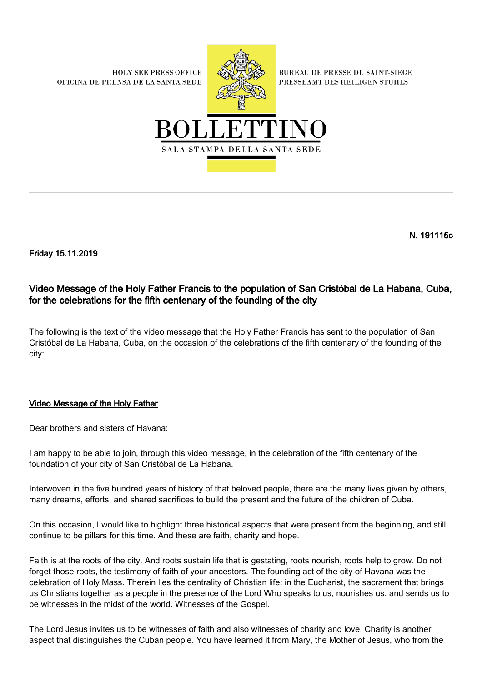**HOLY SEE PRESS OFFICE** OFICINA DE PRENSA DE LA SANTA SEDE



**BUREAU DE PRESSE DU SAINT-SIEGE** PRESSEAMT DES HEILIGEN STUHLS



N. 191115c

Friday 15.11.2019

## Video Message of the Holy Father Francis to the population of San Cristóbal de La Habana, Cuba, for the celebrations for the fifth centenary of the founding of the city

The following is the text of the video message that the Holy Father Francis has sent to the population of San Cristóbal de La Habana, Cuba, on the occasion of the celebrations of the fifth centenary of the founding of the city:

## Video Message of the Holy Father

Dear brothers and sisters of Havana:

I am happy to be able to join, through this video message, in the celebration of the fifth centenary of the foundation of your city of San Cristóbal de La Habana.

Interwoven in the five hundred years of history of that beloved people, there are the many lives given by others, many dreams, efforts, and shared sacrifices to build the present and the future of the children of Cuba.

On this occasion, I would like to highlight three historical aspects that were present from the beginning, and still continue to be pillars for this time. And these are faith, charity and hope.

Faith is at the roots of the city. And roots sustain life that is gestating, roots nourish, roots help to grow. Do not forget those roots, the testimony of faith of your ancestors. The founding act of the city of Havana was the celebration of Holy Mass. Therein lies the centrality of Christian life: in the Eucharist, the sacrament that brings us Christians together as a people in the presence of the Lord Who speaks to us, nourishes us, and sends us to be witnesses in the midst of the world. Witnesses of the Gospel.

The Lord Jesus invites us to be witnesses of faith and also witnesses of charity and love. Charity is another aspect that distinguishes the Cuban people. You have learned it from Mary, the Mother of Jesus, who from the